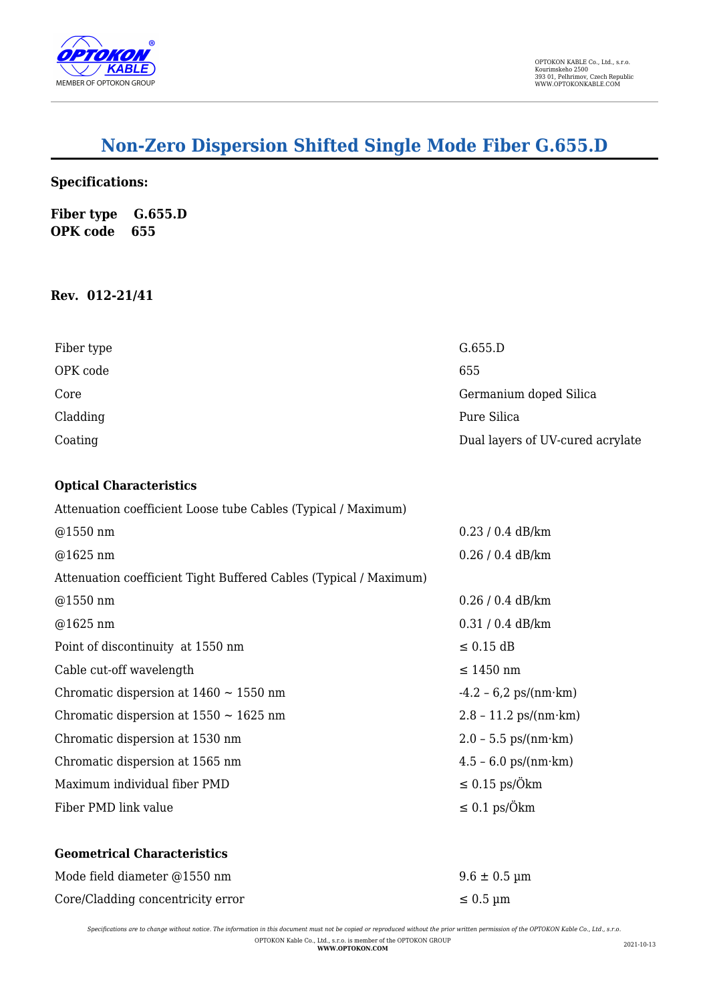

# **Non-Zero Dispersion Shifted Single Mode Fiber G.655.D**

## **Specifications:**

**Fiber type G.655.D OPK code 655**

### **Rev. 012-21/41**

| Fiber type | G.655.D                          |
|------------|----------------------------------|
| OPK code   | 655                              |
| Core       | Germanium doped Silica           |
| Cladding   | Pure Silica                      |
| Coating    | Dual layers of UV-cured acrylate |

#### **Optical Characteristics**

| Attenuation coefficient Loose tube Cables (Typical / Maximum)     |                                 |
|-------------------------------------------------------------------|---------------------------------|
| @1550 nm                                                          | $0.23 / 0.4$ dB/km              |
| $@1625$ nm                                                        | $0.26 / 0.4$ dB/km              |
| Attenuation coefficient Tight Buffered Cables (Typical / Maximum) |                                 |
| $@1550$ nm                                                        | $0.26 / 0.4$ dB/km              |
| $@1625$ nm                                                        | $0.31 / 0.4$ dB/km              |
| Point of discontinuity at 1550 nm                                 | $\leq 0.15$ dB                  |
| Cable cut-off wavelength                                          | $\leq 1450$ nm                  |
| Chromatic dispersion at $1460 \sim 1550$ nm                       | $-4.2 - 6.2$ ps/(nm·km)         |
| Chromatic dispersion at $1550 \sim 1625$ nm                       | $2.8 - 11.2 \text{ ps/(nm·km)}$ |
| Chromatic dispersion at 1530 nm                                   | $2.0 - 5.5$ ps/(nm·km)          |
| Chromatic dispersion at 1565 nm                                   | $4.5 - 6.0 \text{ ps/(nm·km)}$  |
| Maximum individual fiber PMD                                      | $\leq 0.15$ ps/Ökm              |
| Fiber PMD link value                                              | $\leq 0.1$ ps/Ökm               |
|                                                                   |                                 |
| <b>Geometrical Characteristics</b>                                |                                 |
| Mode field diameter @1550 nm                                      | $9.6 \pm 0.5 \,\text{\mu m}$    |
| Core/Cladding concentricity error                                 | $\leq 0.5$ µm                   |

*Specifications are to change without notice. The information in this document must not be copied or reproduced without the prior written permission of the OPTOKON Kable Co., Ltd., s.r.o.*

OPTOKON Kable Co., Ltd., s.r.o. is member of the OPTOKON GROUP **WWW.OPTOKON.COM** 2021-10-13